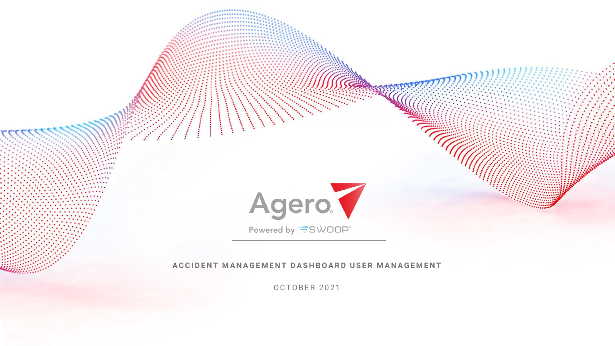

O C T O B E R 2 0 2 1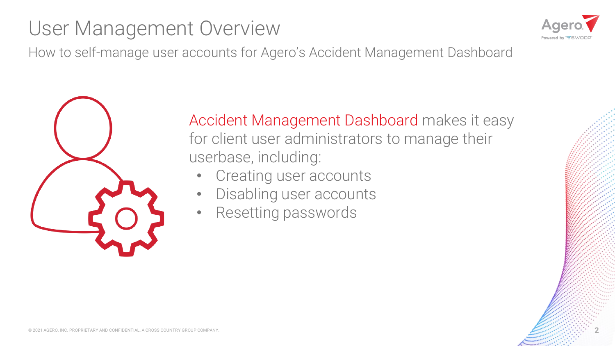# User Management Overview



How to self-manage user accounts for Agero's Accident Management Dashboard



Accident Management Dashboard makes it easy for client user administrators to manage their userbase, including:

- Creating user accounts
- Disabling user accounts
- Resetting passwords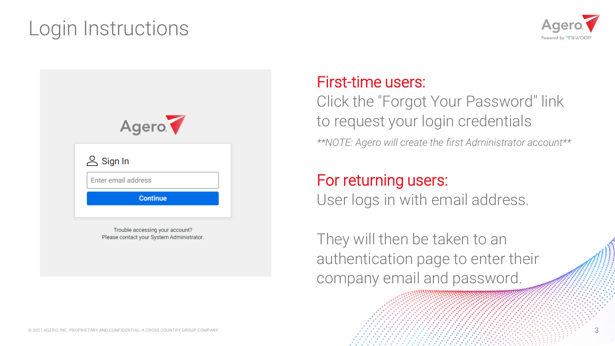## Login Instructions





#### First-time users:

Click the "Forgot Your Password" link to request your login credentials

*\*\*NOTE: Agero will create the first Administrator account\*\**

#### For returning users:

User logs in with email address.

They will then be taken to an authentication page to enter their company email and password.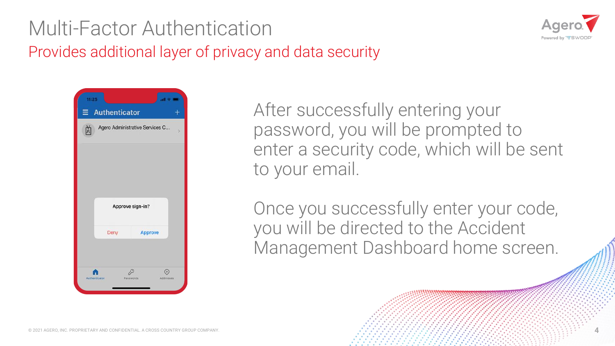### Multi-Factor Authentication Provides additional layer of privacy and data security





After successfully entering your password, you will be prompted to enter a security code, which will be sent to your email.

Once you successfully enter your code, you will be directed to the Accident Management Dashboard home screen.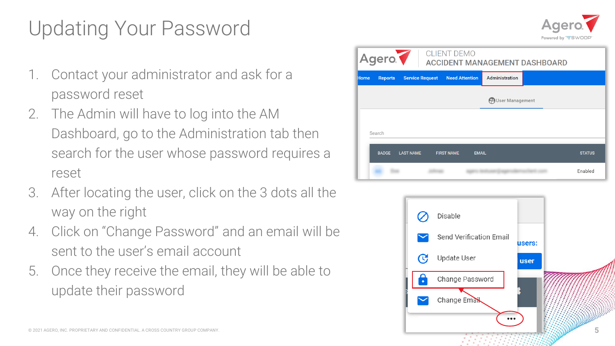# Updating Your Password

- 1. Contact your administrator and ask for a password reset
- 2. The Admin will have to log into the AM Dashboard, go to the Administration tab then search for the user whose password requires a reset
- 3. After locating the user, click on the 3 dots all the way on the right
- 4. Click on "Change Password" and an email will be sent to the user's email account
- 5. Once they receive the email, they will be able to update their password







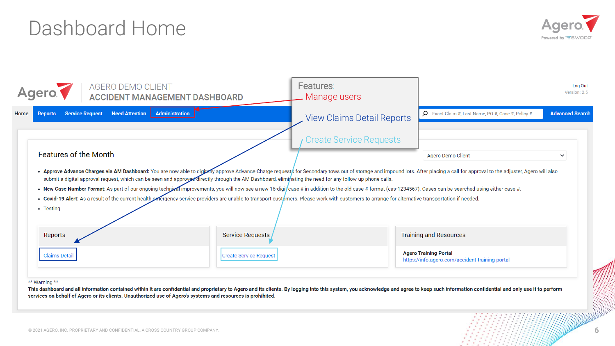### Dashboard Home



| AGERO DEMO CLIENT | Features:<br>Manage users                                     |                                                                                                                                                                                                                      | Log Out<br>Version: 2.5                                                                                                                                                                                                                                                                                                                                                                                                                                                                                                                                                                                                                                                                                                                                       |
|-------------------|---------------------------------------------------------------|----------------------------------------------------------------------------------------------------------------------------------------------------------------------------------------------------------------------|---------------------------------------------------------------------------------------------------------------------------------------------------------------------------------------------------------------------------------------------------------------------------------------------------------------------------------------------------------------------------------------------------------------------------------------------------------------------------------------------------------------------------------------------------------------------------------------------------------------------------------------------------------------------------------------------------------------------------------------------------------------|
| Administration    |                                                               | D Exact Claim #, Last Name, PO #, Case #, Policy #                                                                                                                                                                   | <b>Advanced Search</b>                                                                                                                                                                                                                                                                                                                                                                                                                                                                                                                                                                                                                                                                                                                                        |
|                   | <b>Create Service Requests</b>                                |                                                                                                                                                                                                                      |                                                                                                                                                                                                                                                                                                                                                                                                                                                                                                                                                                                                                                                                                                                                                               |
|                   |                                                               | <b>Agero Demo Client</b>                                                                                                                                                                                             | $\checkmark$                                                                                                                                                                                                                                                                                                                                                                                                                                                                                                                                                                                                                                                                                                                                                  |
|                   |                                                               |                                                                                                                                                                                                                      |                                                                                                                                                                                                                                                                                                                                                                                                                                                                                                                                                                                                                                                                                                                                                               |
|                   |                                                               |                                                                                                                                                                                                                      |                                                                                                                                                                                                                                                                                                                                                                                                                                                                                                                                                                                                                                                                                                                                                               |
|                   |                                                               | https://info.agero.com/accident-training-portal                                                                                                                                                                      |                                                                                                                                                                                                                                                                                                                                                                                                                                                                                                                                                                                                                                                                                                                                                               |
|                   | <b>ACCIDENT MANAGEMENT DASHBOARD</b><br><b>Need Attention</b> | submit a digital approval request, which can be seen and approved directly through the AM Dashboard, eliminating the need for any follow-up phone calls.<br><b>Service Requests</b><br><b>Create Service Request</b> | <b>View Claims Detail Reports</b><br>. Approve Advance Charges via AM Dashboard: You are now able to digitally approve Advance Charge requests for Secondary tows out of storage and impound lots. After placing a call for approval to the adjuster, Agero will al<br>. New Case Number Format: As part of our ongoing technizal improvements, you will now see a new 16-digit/case # in addition to the old case # format (cas-1234567). Cases can be searched using either case #.<br>. Covid-19 Alert: As a result of the current health extergency service providers are unable to transport customers. Please work with customers to arrange for alternative transportation if needed.<br><b>Training and Resources</b><br><b>Agero Training Portal</b> |

services on behalf of Agero or its clients. Unauthorized use of Agero's systems and resources is prohibited.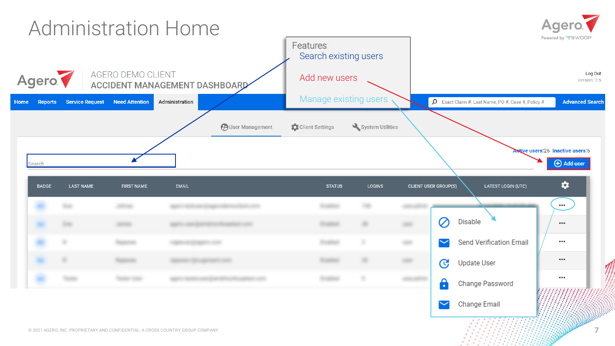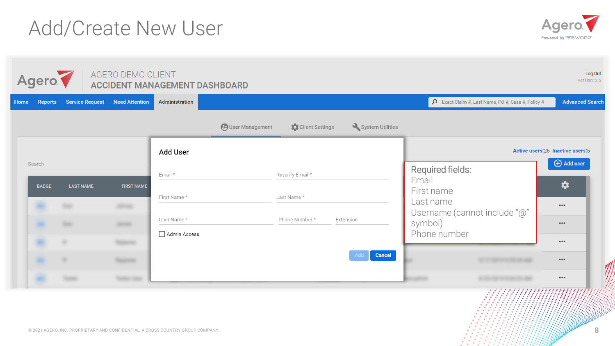© 2021 AGERO, INC. PROPRIETARY AND CONFIDENTIAL. A CROSS COUNTRY GROUP COMPANY. **8** 

# Add/Create New User

| Agero.                 |                        | AGERO DEMO CLIENT     | <b>ACCIDENT MANAGEMENT DASHBOARD</b> |                         |                  |                      |                                         |                                                          | Log Out<br>Version: 2.5                                  |
|------------------------|------------------------|-----------------------|--------------------------------------|-------------------------|------------------|----------------------|-----------------------------------------|----------------------------------------------------------|----------------------------------------------------------|
| Reports<br>me          | <b>Service Request</b> | <b>Need Attention</b> | Administration                       |                         |                  |                      |                                         | $\beta$ Exact Claim #, Last Name, PO #, Case #, Policy # | <b>Advanced Search</b>                                   |
|                        |                        |                       |                                      | <b>PUser Management</b> | Client Settings  | System Utilities     |                                         |                                                          |                                                          |
|                        |                        |                       | Add User                             |                         |                  |                      |                                         |                                                          | Active users: 26 Inactive users: 6                       |
| Search<br><b>BADGE</b> | <b>LAST NAME</b>       | <b>FIRST NAME</b>     | Email *                              |                         | Reverify Email * |                      | Required fields:<br>Email<br>First name |                                                          | $\bigoplus$ Add user<br>*                                |
|                        | <b>The Contract</b>    |                       | First Name*                          |                         | Last Name*       |                      | Last name                               | Username (cannot include "@"                             | $\bullet\bullet\bullet$                                  |
|                        | <b>TRANS</b>           | <b>GREENE</b>         | User Name*                           |                         | Phone Number*    | Extension            | symbol)                                 |                                                          | $\bullet\bullet\bullet$                                  |
|                        |                        |                       | Admin Access                         |                         |                  |                      | Phone number                            |                                                          | $\bullet\bullet\bullet$                                  |
|                        |                        |                       |                                      |                         |                  | Cancel<br><b>Add</b> |                                         |                                                          | $\bullet\bullet\bullet$                                  |
|                        |                        | <b>TANKER COMPANY</b> |                                      |                         |                  |                      |                                         |                                                          | $\bullet\bullet\bullet$<br>3000 N N O MANITIMI NA MATINA |